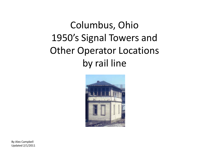## Columbus, Ohio 1950's Signal Towers and Other Operator Locations by rail line



By Alex Campbell Updated 2/1/2011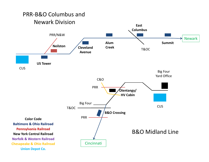## PRR‐B&O Columbus and Newark Division

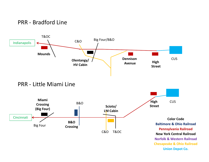



PRR ‐ Little Miami Line

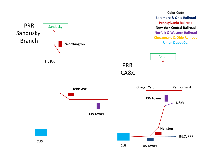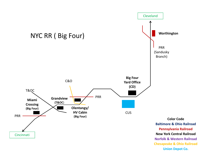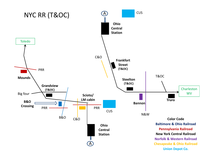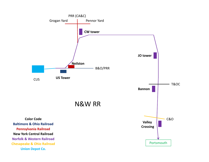